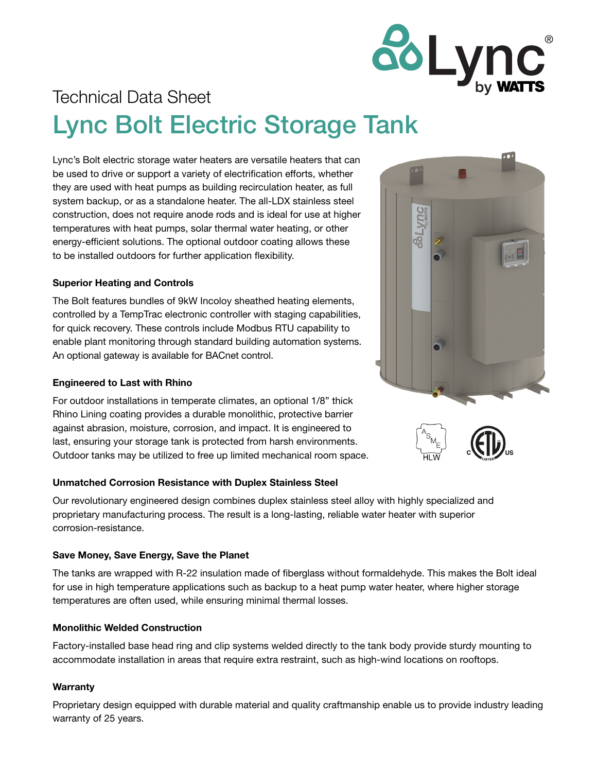

# Technical Data Sheet Lync Bolt Electric Storage Tank

Lync's Bolt electric storage water heaters are versatile heaters that can be used to drive or support a variety of electrification efforts, whether they are used with heat pumps as building recirculation heater, as full system backup, or as a standalone heater. The all-LDX stainless steel construction, does not require anode rods and is ideal for use at higher temperatures with heat pumps, solar thermal water heating, or other energy-efficient solutions. The optional outdoor coating allows these to be installed outdoors for further application flexibility.

### Superior Heating and Controls

The Bolt features bundles of 9kW Incoloy sheathed heating elements, controlled by a TempTrac electronic controller with staging capabilities, for quick recovery. These controls include Modbus RTU capability to enable plant monitoring through standard building automation systems. An optional gateway is available for BACnet control.

### Engineered to Last with Rhino

For outdoor installations in temperate climates, an optional 1/8" thick Rhino Lining coating provides a durable monolithic, protective barrier against abrasion, moisture, corrosion, and impact. It is engineered to last, ensuring your storage tank is protected from harsh environments. Outdoor tanks may be utilized to free up limited mechanical room space.

### Unmatched Corrosion Resistance with Duplex Stainless Steel

Our revolutionary engineered design combines duplex stainless steel alloy with highly specialized and proprietary manufacturing process. The result is a long-lasting, reliable water heater with superior corrosion-resistance.

#### Save Money, Save Energy, Save the Planet

The tanks are wrapped with R-22 insulation made of fiberglass without formaldehyde. This makes the Bolt ideal for use in high temperature applications such as backup to a heat pump water heater, where higher storage temperatures are often used, while ensuring minimal thermal losses.

#### Monolithic Welded Construction

Factory-installed base head ring and clip systems welded directly to the tank body provide sturdy mounting to accommodate installation in areas that require extra restraint, such as high-wind locations on rooftops.

#### **Warranty**

Proprietary design equipped with durable material and quality craftmanship enable us to provide industry leading warranty of 25 years.